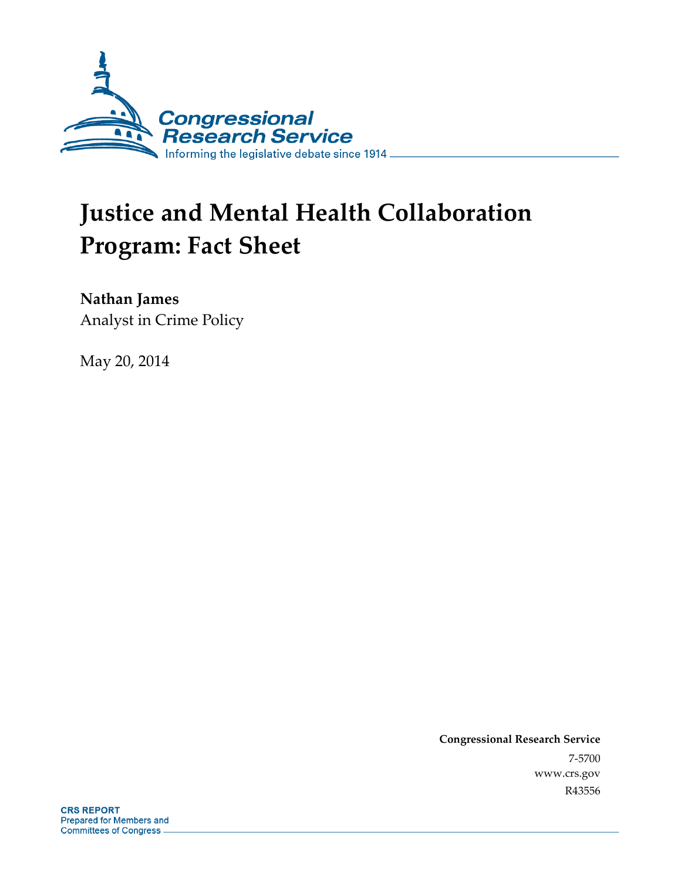

# **Justice and Mental Health Collaboration Program: Fact Sheet**

**Nathan James** 

Analyst in Crime Policy

May 20, 2014

**Congressional Research Service**  7-5700 www.crs.gov R43556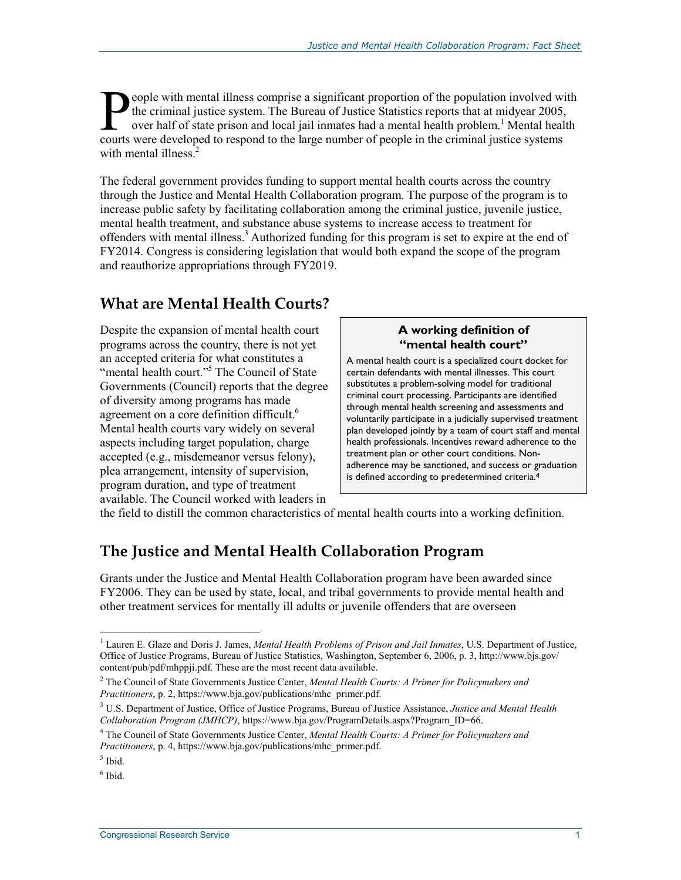eople with mental illness comprise a significant proportion of the population involved with the criminal justice system. The Bureau of Justice Statistics reports that at midyear 2005, over half of state prison and local jail inmates had a mental health problem.<sup>1</sup> Mental health **Courts were developed to respond to the large number of people in the criminal justice system. The Bureau of Justice Statistics reports that at midyear 2005, over half of state prison and local jail inmates had a mental h** with mental illness.<sup>2</sup>

The federal government provides funding to support mental health courts across the country through the Justice and Mental Health Collaboration program. The purpose of the program is to increase public safety by facilitating collaboration among the criminal justice, juvenile justice, mental health treatment, and substance abuse systems to increase access to treatment for offenders with mental illness.<sup>3</sup> Authorized funding for this program is set to expire at the end of FY2014. Congress is considering legislation that would both expand the scope of the program and reauthorize appropriations through FY2019.

## **What are Mental Health Courts?**

Despite the expansion of mental health court programs across the country, there is not yet an accepted criteria for what constitutes a "mental health court."<sup>5</sup> The Council of State Governments (Council) reports that the degree of diversity among programs has made agreement on a core definition difficult.<sup>6</sup> Mental health courts vary widely on several aspects including target population, charge accepted (e.g., misdemeanor versus felony), plea arrangement, intensity of supervision, program duration, and type of treatment available. The Council worked with leaders in

#### **A working definition of "mental health court"**

A mental health court is a specialized court docket for certain defendants with mental illnesses. This court substitutes a problem-solving model for traditional criminal court processing. Participants are identified through mental health screening and assessments and voluntarily participate in a judicially supervised treatment plan developed jointly by a team of court staff and mental health professionals. Incentives reward adherence to the treatment plan or other court conditions. Nonadherence may be sanctioned, and success or graduation is defined according to predetermined criteria.**4**

the field to distill the common characteristics of mental health courts into a working definition.

## **The Justice and Mental Health Collaboration Program**

Grants under the Justice and Mental Health Collaboration program have been awarded since FY2006. They can be used by state, local, and tribal governments to provide mental health and other treatment services for mentally ill adults or juvenile offenders that are overseen

<u>.</u>

<sup>&</sup>lt;sup>1</sup> Lauren E. Glaze and Doris J. James, *Mental Health Problems of Prison and Jail Inmates*, U.S. Department of Justice, Office of Justice Programs, Bureau of Justice Statistics, Washington, September 6, 2006, p. 3, http://www.bjs.gov/ content/pub/pdf/mhppji.pdf. These are the most recent data available.

<sup>2</sup> The Council of State Governments Justice Center, *Mental Health Courts: A Primer for Policymakers and Practitioners*, p. 2, https://www.bja.gov/publications/mhc\_primer.pdf.

<sup>3</sup> U.S. Department of Justice, Office of Justice Programs, Bureau of Justice Assistance, *Justice and Mental Health Collaboration Program (JMHCP)*, https://www.bja.gov/ProgramDetails.aspx?Program\_ID=66.

<sup>4</sup> The Council of State Governments Justice Center, *Mental Health Courts: A Primer for Policymakers and Practitioners*, p. 4, https://www.bja.gov/publications/mhc\_primer.pdf.

 $<sup>5</sup>$  Ibid.</sup>

<sup>6</sup> Ibid.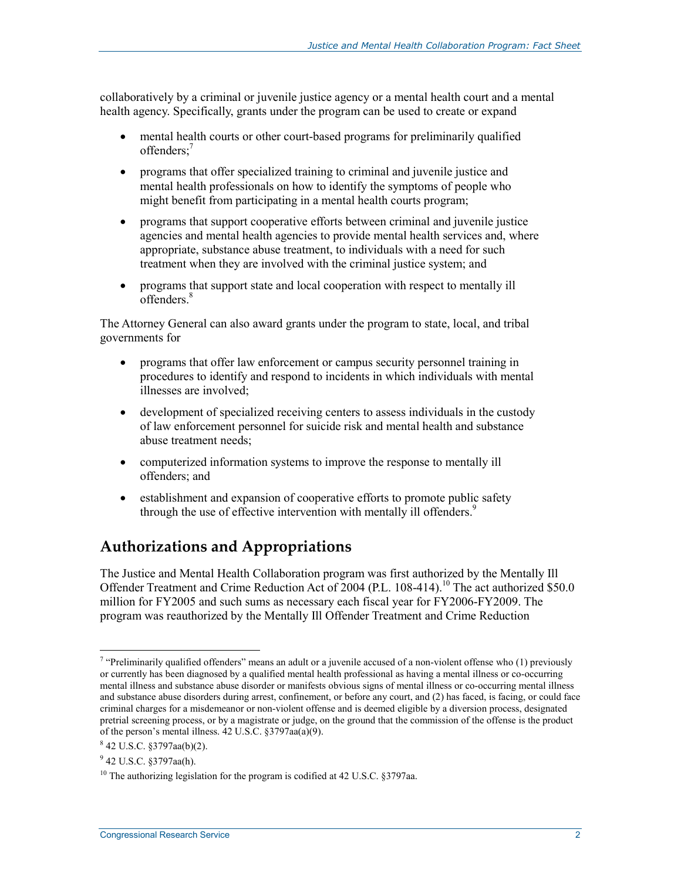collaboratively by a criminal or juvenile justice agency or a mental health court and a mental health agency. Specifically, grants under the program can be used to create or expand

- mental health courts or other court-based programs for preliminarily qualified offenders;7
- programs that offer specialized training to criminal and juvenile justice and mental health professionals on how to identify the symptoms of people who might benefit from participating in a mental health courts program;
- programs that support cooperative efforts between criminal and juvenile justice agencies and mental health agencies to provide mental health services and, where appropriate, substance abuse treatment, to individuals with a need for such treatment when they are involved with the criminal justice system; and
- programs that support state and local cooperation with respect to mentally ill offenders.<sup>8</sup>

The Attorney General can also award grants under the program to state, local, and tribal governments for

- programs that offer law enforcement or campus security personnel training in procedures to identify and respond to incidents in which individuals with mental illnesses are involved;
- development of specialized receiving centers to assess individuals in the custody of law enforcement personnel for suicide risk and mental health and substance abuse treatment needs;
- computerized information systems to improve the response to mentally ill offenders; and
- establishment and expansion of cooperative efforts to promote public safety through the use of effective intervention with mentally ill offenders.<sup>9</sup>

## **Authorizations and Appropriations**

The Justice and Mental Health Collaboration program was first authorized by the Mentally Ill Offender Treatment and Crime Reduction Act of 2004 (P.L. 108-414).<sup>10</sup> The act authorized \$50.0 million for FY2005 and such sums as necessary each fiscal year for FY2006-FY2009. The program was reauthorized by the Mentally Ill Offender Treatment and Crime Reduction

1

<sup>&</sup>lt;sup> $\tau$ </sup> "Preliminarily qualified offenders" means an adult or a juvenile accused of a non-violent offense who (1) previously or currently has been diagnosed by a qualified mental health professional as having a mental illness or co-occurring mental illness and substance abuse disorder or manifests obvious signs of mental illness or co-occurring mental illness and substance abuse disorders during arrest, confinement, or before any court, and (2) has faced, is facing, or could face criminal charges for a misdemeanor or non-violent offense and is deemed eligible by a diversion process, designated pretrial screening process, or by a magistrate or judge, on the ground that the commission of the offense is the product of the person's mental illness.  $42 \text{ U.S.C. }$   $\S 3797$ aa(a)(9).

<sup>8</sup> 42 U.S.C. §3797aa(b)(2).

 $9$  42 U.S.C. §3797aa(h).

<sup>&</sup>lt;sup>10</sup> The authorizing legislation for the program is codified at 42 U.S.C.  $§$ 3797aa.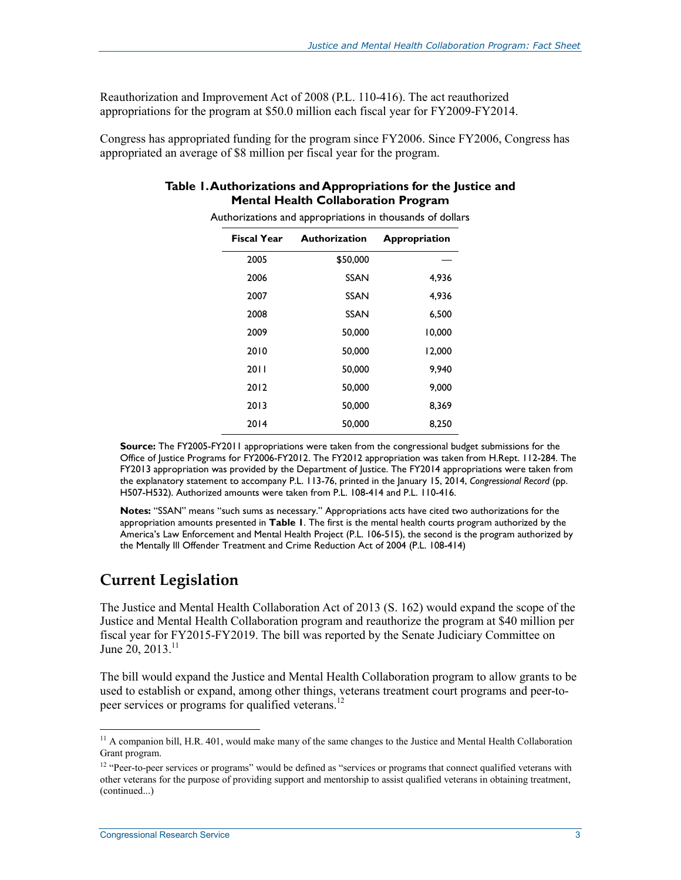Reauthorization and Improvement Act of 2008 (P.L. 110-416). The act reauthorized appropriations for the program at \$50.0 million each fiscal year for FY2009-FY2014.

Congress has appropriated funding for the program since FY2006. Since FY2006, Congress has appropriated an average of \$8 million per fiscal year for the program.

#### **Table 1. Authorizations and Appropriations for the Justice and Mental Health Collaboration Program**

| <b>Fiscal Year</b> | <b>Authorization</b> | Appropriation |
|--------------------|----------------------|---------------|
| 2005               | \$50,000             |               |
| 2006               | <b>SSAN</b>          | 4,936         |
| 2007               | <b>SSAN</b>          | 4,936         |
| 2008               | SSAN                 | 6,500         |
| 2009               | 50,000               | 10,000        |
| 2010               | 50,000               | 12,000        |
| 2011               | 50,000               | 9,940         |
| 2012               | 50,000               | 9,000         |
| 2013               | 50,000               | 8,369         |
| 2014               | 50,000               | 8,250         |

Authorizations and appropriations in thousands of dollars

**Source:** The FY2005-FY2011 appropriations were taken from the congressional budget submissions for the Office of Justice Programs for FY2006-FY2012. The FY2012 appropriation was taken from H.Rept. 112-284. The FY2013 appropriation was provided by the Department of Justice. The FY2014 appropriations were taken from the explanatory statement to accompany P.L. 113-76, printed in the January 15, 2014, *Congressional Record* (pp. H507-H532). Authorized amounts were taken from P.L. 108-414 and P.L. 110-416.

**Notes:** "SSAN" means "such sums as necessary." Appropriations acts have cited two authorizations for the appropriation amounts presented in **Table 1**. The first is the mental health courts program authorized by the America's Law Enforcement and Mental Health Project (P.L. 106-515), the second is the program authorized by the Mentally Ill Offender Treatment and Crime Reduction Act of 2004 (P.L. 108-414)

#### **Current Legislation**

The Justice and Mental Health Collaboration Act of 2013 (S. 162) would expand the scope of the Justice and Mental Health Collaboration program and reauthorize the program at \$40 million per fiscal year for FY2015-FY2019. The bill was reported by the Senate Judiciary Committee on June 20, 2013.<sup>11</sup>

The bill would expand the Justice and Mental Health Collaboration program to allow grants to be used to establish or expand, among other things, veterans treatment court programs and peer-topeer services or programs for qualified veterans.<sup>12</sup>

1

 $11$  A companion bill, H.R. 401, would make many of the same changes to the Justice and Mental Health Collaboration Grant program.

<sup>&</sup>lt;sup>12</sup> "Peer-to-peer services or programs" would be defined as "services or programs that connect qualified veterans with other veterans for the purpose of providing support and mentorship to assist qualified veterans in obtaining treatment, (continued...)